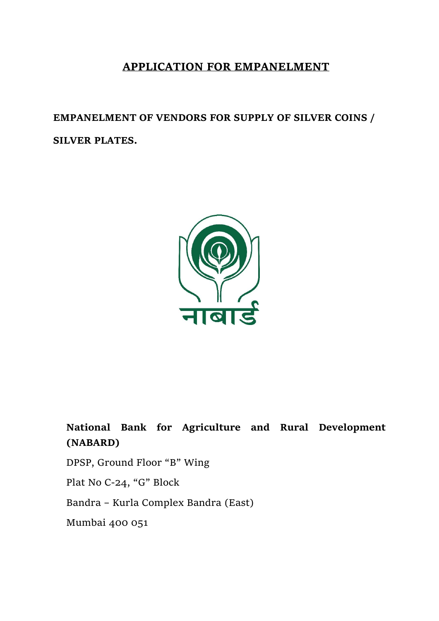# **APPLICATION FOR EMPANELMENT**

**EMPANELMENT OF VENDORS FOR SUPPLY OF SILVER COINS / SILVER PLATES.**



**National Bank for Agriculture and Rural Development (NABARD)**

DPSP, Ground Floor "B" Wing

Plat No C-24, "G" Block

Bandra – Kurla Complex Bandra (East)

Mumbai 400 051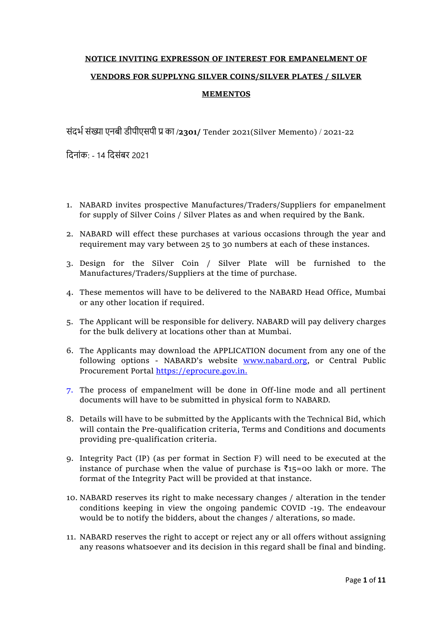# **NOTICE INVITING EXPRESSON OF INTEREST FOR EMPANELMENT OF VENDORS FOR SUPPLYNG SILVER COINS/SILVER PLATES / SILVER MEMENTOS**

संदर्भसंख्या एनबी डीपीएसपी प्र का **/2301/** Tender 2021(Silver Memento) / 2021-22

ददनांक: - 14 ददसंबर 2021

- 1. NABARD invites prospective Manufactures/Traders/Suppliers for empanelment for supply of Silver Coins / Silver Plates as and when required by the Bank.
- 2. NABARD will effect these purchases at various occasions through the year and requirement may vary between 25 to 30 numbers at each of these instances.
- 3. Design for the Silver Coin / Silver Plate will be furnished to the Manufactures/Traders/Suppliers at the time of purchase.
- 4. These mementos will have to be delivered to the NABARD Head Office, Mumbai or any other location if required.
- 5. The Applicant will be responsible for delivery. NABARD will pay delivery charges for the bulk delivery at locations other than at Mumbai.
- 6. The Applicants may download the APPLICATION document from any one of the following options - NABARD's website [www.nabard.org,](http://www.nabard.org/) or Central Public Procurement Portal [https://eprocure.gov.in.](https://eprocure.gov.in/)
- 7. The process of empanelment will be done in Off-line mode and all pertinent documents will have to be submitted in physical form to NABARD.
- 8. Details will have to be submitted by the Applicants with the Technical Bid, which will contain the Pre-qualification criteria, Terms and Conditions and documents providing pre-qualification criteria.
- 9. Integrity Pact (IP) (as per format in Section F) will need to be executed at the instance of purchase when the value of purchase is  $\bar{\tau}_{15}=00$  lakh or more. The format of the Integrity Pact will be provided at that instance.
- 10. NABARD reserves its right to make necessary changes / alteration in the tender conditions keeping in view the ongoing pandemic COVID -19. The endeavour would be to notify the bidders, about the changes / alterations, so made.
- 11. NABARD reserves the right to accept or reject any or all offers without assigning any reasons whatsoever and its decision in this regard shall be final and binding.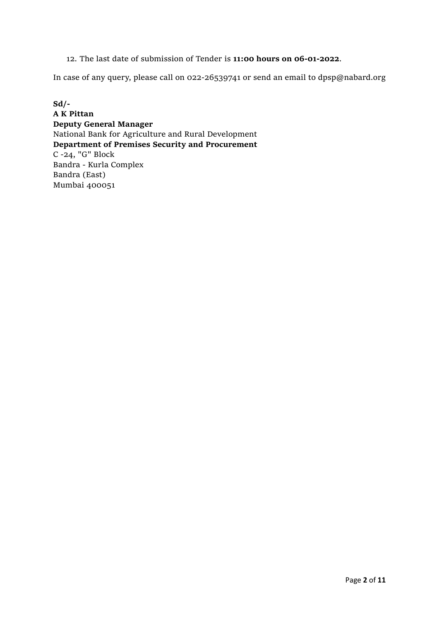# 12. The last date of submission of Tender is **11:00 hours on 06-01-2022**.

In case of any query, please call on 022-26539741 or send an email to dpsp@nabard.org

**Sd/- A K Pittan Deputy General Manager** National Bank for Agriculture and Rural Development **Department of Premises Security and Procurement**  C -24, "G" Block Bandra - Kurla Complex Bandra (East) Mumbai 400051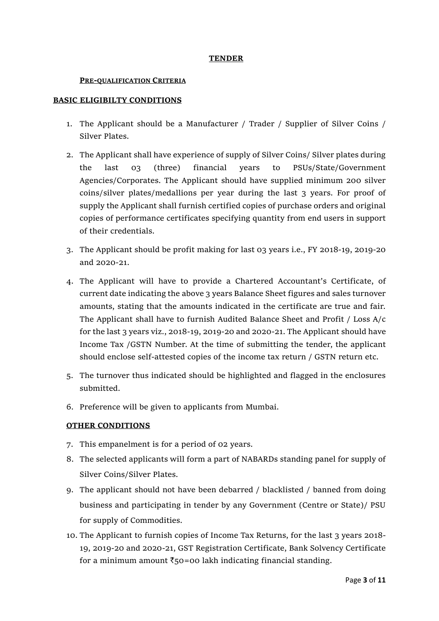#### **TENDER**

#### **PRE-QUALIFICATION CRITERIA**

### **BASIC ELIGIBILTY CONDITIONS**

- 1. The Applicant should be a Manufacturer / Trader / Supplier of Silver Coins / Silver Plates.
- 2. The Applicant shall have experience of supply of Silver Coins/ Silver plates during the last 03 (three) financial years to PSUs/State/Government Agencies/Corporates. The Applicant should have supplied minimum 200 silver coins/silver plates/medallions per year during the last 3 years. For proof of supply the Applicant shall furnish certified copies of purchase orders and original copies of performance certificates specifying quantity from end users in support of their credentials.
- 3. The Applicant should be profit making for last 03 years i.e., FY 2018-19, 2019-20 and 2020-21.
- 4. The Applicant will have to provide a Chartered Accountant's Certificate, of current date indicating the above 3 years Balance Sheet figures and sales turnover amounts, stating that the amounts indicated in the certificate are true and fair. The Applicant shall have to furnish Audited Balance Sheet and Profit / Loss A/c for the last 3 years viz., 2018-19, 2019-20 and 2020-21. The Applicant should have Income Tax /GSTN Number. At the time of submitting the tender, the applicant should enclose self-attested copies of the income tax return / GSTN return etc.
- 5. The turnover thus indicated should be highlighted and flagged in the enclosures submitted.
- 6. Preference will be given to applicants from Mumbai.

# **OTHER CONDITIONS**

- 7. This empanelment is for a period of 02 years.
- 8. The selected applicants will form a part of NABARDs standing panel for supply of Silver Coins/Silver Plates.
- 9. The applicant should not have been debarred / blacklisted / banned from doing business and participating in tender by any Government (Centre or State)/ PSU for supply of Commodities.
- 10. The Applicant to furnish copies of Income Tax Returns, for the last 3 years 2018- 19, 2019-20 and 2020-21, GST Registration Certificate, Bank Solvency Certificate for a minimum amount  $\bar{\tau}$ 50=00 lakh indicating financial standing.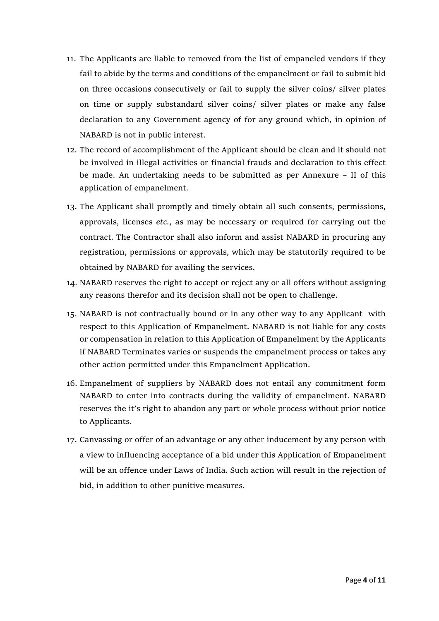- 11. The Applicants are liable to removed from the list of empaneled vendors if they fail to abide by the terms and conditions of the empanelment or fail to submit bid on three occasions consecutively or fail to supply the silver coins/ silver plates on time or supply substandard silver coins/ silver plates or make any false declaration to any Government agency of for any ground which, in opinion of NABARD is not in public interest.
- 12. The record of accomplishment of the Applicant should be clean and it should not be involved in illegal activities or financial frauds and declaration to this effect be made. An undertaking needs to be submitted as per Annexure – II of this application of empanelment.
- 13. The Applicant shall promptly and timely obtain all such consents, permissions, approvals, licenses *etc.*, as may be necessary or required for carrying out the contract. The Contractor shall also inform and assist NABARD in procuring any registration, permissions or approvals, which may be statutorily required to be obtained by NABARD for availing the services.
- 14. NABARD reserves the right to accept or reject any or all offers without assigning any reasons therefor and its decision shall not be open to challenge.
- 15. NABARD is not contractually bound or in any other way to any Applicant with respect to this Application of Empanelment. NABARD is not liable for any costs or compensation in relation to this Application of Empanelment by the Applicants if NABARD Terminates varies or suspends the empanelment process or takes any other action permitted under this Empanelment Application.
- 16. Empanelment of suppliers by NABARD does not entail any commitment form NABARD to enter into contracts during the validity of empanelment. NABARD reserves the it's right to abandon any part or whole process without prior notice to Applicants.
- 17. Canvassing or offer of an advantage or any other inducement by any person with a view to influencing acceptance of a bid under this Application of Empanelment will be an offence under Laws of India. Such action will result in the rejection of bid, in addition to other punitive measures.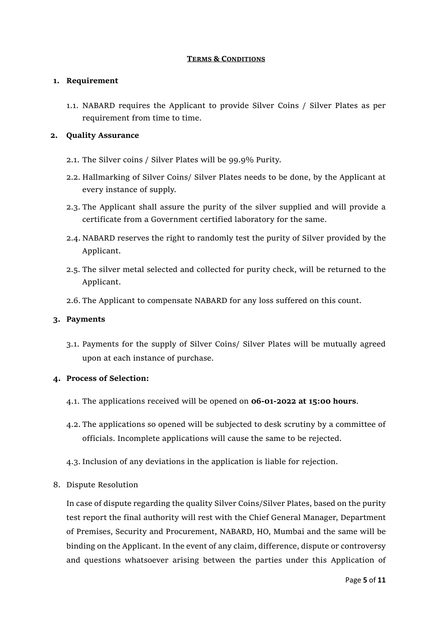#### **TERMS & CONDITIONS**

### **1. Requirement**

1.1. NABARD requires the Applicant to provide Silver Coins / Silver Plates as per requirement from time to time.

### **2. Quality Assurance**

- 2.1. The Silver coins / Silver Plates will be 99.9% Purity.
- 2.2. Hallmarking of Silver Coins/ Silver Plates needs to be done, by the Applicant at every instance of supply.
- 2.3. The Applicant shall assure the purity of the silver supplied and will provide a certificate from a Government certified laboratory for the same.
- 2.4. NABARD reserves the right to randomly test the purity of Silver provided by the Applicant.
- 2.5. The silver metal selected and collected for purity check, will be returned to the Applicant.
- 2.6. The Applicant to compensate NABARD for any loss suffered on this count.

# **3. Payments**

3.1. Payments for the supply of Silver Coins/ Silver Plates will be mutually agreed upon at each instance of purchase.

# **4. Process of Selection:**

- 4.1. The applications received will be opened on **06-01-2022 at 15:00 hours**.
- 4.2. The applications so opened will be subjected to desk scrutiny by a committee of officials. Incomplete applications will cause the same to be rejected.
- 4.3. Inclusion of any deviations in the application is liable for rejection.
- 8. Dispute Resolution

In case of dispute regarding the quality Silver Coins/Silver Plates, based on the purity test report the final authority will rest with the Chief General Manager, Department of Premises, Security and Procurement, NABARD, HO, Mumbai and the same will be binding on the Applicant. In the event of any claim, difference, dispute or controversy and questions whatsoever arising between the parties under this Application of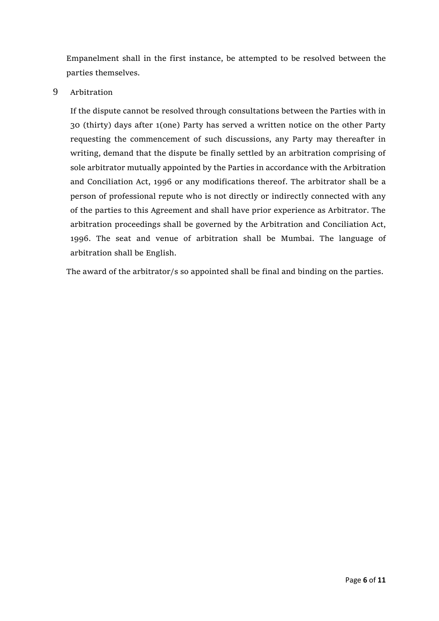Empanelment shall in the first instance, be attempted to be resolved between the parties themselves.

# 9 Arbitration

If the dispute cannot be resolved through consultations between the Parties with in 30 (thirty) days after 1(one) Party has served a written notice on the other Party requesting the commencement of such discussions, any Party may thereafter in writing, demand that the dispute be finally settled by an arbitration comprising of sole arbitrator mutually appointed by the Parties in accordance with the Arbitration and Conciliation Act, 1996 or any modifications thereof. The arbitrator shall be a person of professional repute who is not directly or indirectly connected with any of the parties to this Agreement and shall have prior experience as Arbitrator. The arbitration proceedings shall be governed by the Arbitration and Conciliation Act, 1996. The seat and venue of arbitration shall be Mumbai. The language of arbitration shall be English.

The award of the arbitrator/s so appointed shall be final and binding on the parties.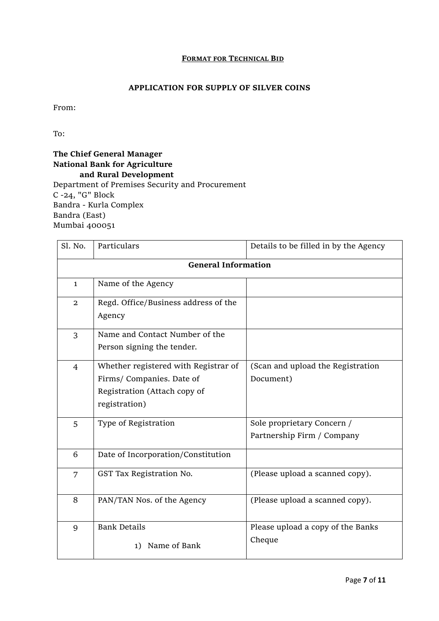#### **FORMAT FOR TECHNICAL BID**

# **APPLICATION FOR SUPPLY OF SILVER COINS**

From:

To:

# **The Chief General Manager National Bank for Agriculture and Rural Development** Department of Premises Security and Procurement C -24, "G" Block Bandra - Kurla Complex

Bandra (East) Mumbai 400051

| Sl. No.                    | Particulars                                                                                                        | Details to be filled in by the Agency                    |  |  |
|----------------------------|--------------------------------------------------------------------------------------------------------------------|----------------------------------------------------------|--|--|
| <b>General Information</b> |                                                                                                                    |                                                          |  |  |
| $\mathbf{1}$               | Name of the Agency                                                                                                 |                                                          |  |  |
| $\overline{2}$             | Regd. Office/Business address of the<br>Agency                                                                     |                                                          |  |  |
| $\overline{3}$             | Name and Contact Number of the<br>Person signing the tender.                                                       |                                                          |  |  |
| $\overline{4}$             | Whether registered with Registrar of<br>Firms/ Companies. Date of<br>Registration (Attach copy of<br>registration) | (Scan and upload the Registration<br>Document)           |  |  |
| 5                          | Type of Registration                                                                                               | Sole proprietary Concern /<br>Partnership Firm / Company |  |  |
| 6                          | Date of Incorporation/Constitution                                                                                 |                                                          |  |  |
| 7                          | GST Tax Registration No.                                                                                           | (Please upload a scanned copy).                          |  |  |
| 8                          | PAN/TAN Nos. of the Agency                                                                                         | (Please upload a scanned copy).                          |  |  |
| 9                          | <b>Bank Details</b><br>Name of Bank<br>1)                                                                          | Please upload a copy of the Banks<br>Cheque              |  |  |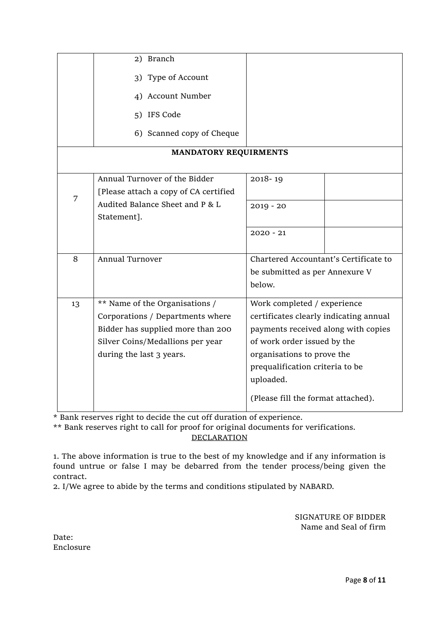|                              | 2) Branch                             |                                        |  |  |  |
|------------------------------|---------------------------------------|----------------------------------------|--|--|--|
|                              | 3) Type of Account                    |                                        |  |  |  |
|                              | 4) Account Number                     |                                        |  |  |  |
|                              | 5) IFS Code                           |                                        |  |  |  |
|                              | 6) Scanned copy of Cheque             |                                        |  |  |  |
| <b>MANDATORY REQUIRMENTS</b> |                                       |                                        |  |  |  |
|                              |                                       |                                        |  |  |  |
| 7                            | Annual Turnover of the Bidder         | 2018-19                                |  |  |  |
|                              | [Please attach a copy of CA certified |                                        |  |  |  |
|                              | Audited Balance Sheet and P & L       | $2019 - 20$                            |  |  |  |
|                              | Statement].                           |                                        |  |  |  |
|                              |                                       | $2020 - 21$                            |  |  |  |
|                              |                                       |                                        |  |  |  |
| 8                            | <b>Annual Turnover</b>                | Chartered Accountant's Certificate to  |  |  |  |
|                              |                                       | be submitted as per Annexure V         |  |  |  |
|                              |                                       | below.                                 |  |  |  |
| 13                           | ** Name of the Organisations /        | Work completed / experience            |  |  |  |
|                              | Corporations / Departments where      | certificates clearly indicating annual |  |  |  |
|                              | Bidder has supplied more than 200     | payments received along with copies    |  |  |  |
|                              | Silver Coins/Medallions per year      | of work order issued by the            |  |  |  |
|                              | during the last 3 years.              | organisations to prove the             |  |  |  |
|                              |                                       | prequalification criteria to be        |  |  |  |
|                              |                                       | uploaded.                              |  |  |  |
|                              |                                       | (Please fill the format attached).     |  |  |  |

\* Bank reserves right to decide the cut off duration of experience.

\*\* Bank reserves right to call for proof for original documents for verifications. **DECLARATION** 

1. The above information is true to the best of my knowledge and if any information is found untrue or false I may be debarred from the tender process/being given the contract.

2. I/We agree to abide by the terms and conditions stipulated by NABARD.

SIGNATURE OF BIDDER Name and Seal of firm

Date: Enclosure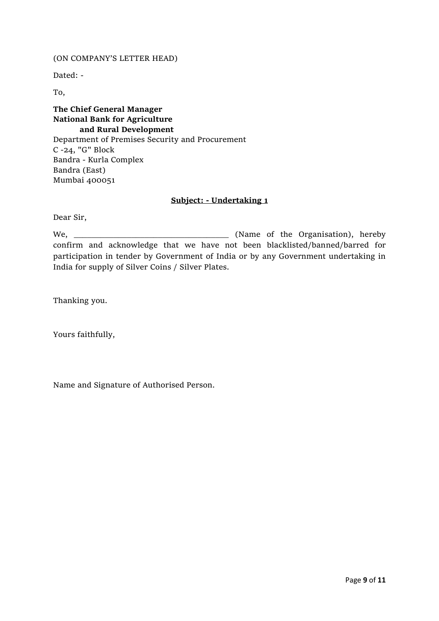#### (ON COMPANY'S LETTER HEAD)

Dated: -

To,

**The Chief General Manager National Bank for Agriculture and Rural Development** Department of Premises Security and Procurement C -24, "G" Block Bandra - Kurla Complex Bandra (East) Mumbai 400051

#### **Subject: - Undertaking 1**

Dear Sir,

We, \_\_\_\_\_\_\_\_\_\_\_\_\_\_\_\_\_\_\_\_\_\_\_\_\_\_\_\_\_\_\_\_\_\_\_ (Name of the Organisation), hereby confirm and acknowledge that we have not been blacklisted/banned/barred for participation in tender by Government of India or by any Government undertaking in India for supply of Silver Coins / Silver Plates.

Thanking you.

Yours faithfully,

Name and Signature of Authorised Person.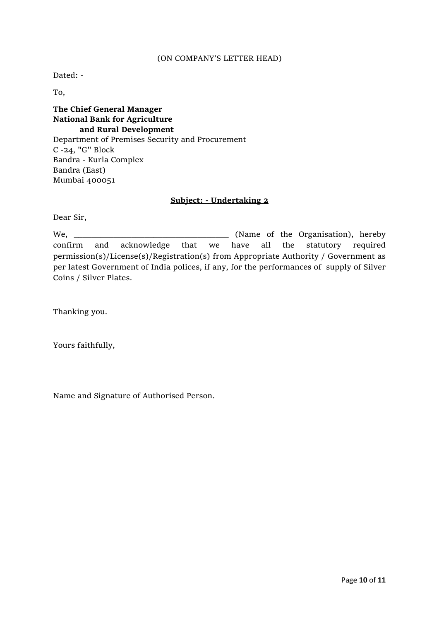#### (ON COMPANY'S LETTER HEAD)

Dated: -

To,

**The Chief General Manager National Bank for Agriculture and Rural Development** Department of Premises Security and Procurement C -24, "G" Block Bandra - Kurla Complex Bandra (East) Mumbai 400051

#### **Subject: - Undertaking 2**

Dear Sir,

We, \_\_\_\_\_\_\_\_\_\_\_\_\_\_\_\_\_\_\_\_\_\_\_\_\_\_\_\_\_\_\_\_\_\_\_ (Name of the Organisation), hereby confirm and acknowledge that we have all the statutory required permission(s)/License(s)/Registration(s) from Appropriate Authority / Government as per latest Government of India polices, if any, for the performances of supply of Silver Coins / Silver Plates.

Thanking you.

Yours faithfully,

Name and Signature of Authorised Person.